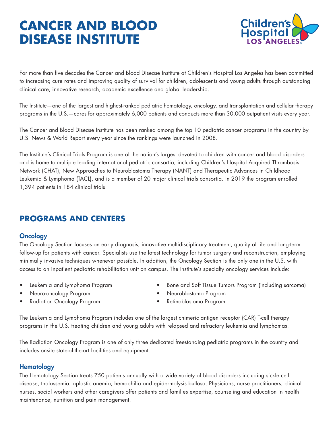# **CANCER AND BLOOD DISEASE INSTITUTE**



For more than five decades the Cancer and Blood Disease Institute at Children's Hospital Los Angeles has been committed to increasing cure rates and improving quality of survival for children, adolescents and young adults through outstanding clinical care, innovative research, academic excellence and global leadership.

The Institute—one of the largest and highest-ranked pediatric hematology, oncology, and transplantation and cellular therapy programs in the U.S.—cares for approximately 6,000 patients and conducts more than 30,000 outpatient visits every year.

The Cancer and Blood Disease Institute has been ranked among the top 10 pediatric cancer programs in the country by U.S. News & World Report every year since the rankings were launched in 2008.

The Institute's Clinical Trials Program is one of the nation's largest devoted to children with cancer and blood disorders and is home to multiple leading international pediatric consortia, including Children's Hospital Acquired Thrombosis Network (CHAT), New Approaches to Neuroblastoma Therapy (NANT) and Therapeutic Advances in Childhood Leukemia & Lymphoma (TACL), and is a member of 20 major clinical trials consortia. In 2019 the program enrolled 1,394 patients in 184 clinical trials.

# **PROGRAMS AND CENTERS**

#### **Oncology**

The Oncology Section focuses on early diagnosis, innovative multidisciplinary treatment, quality of life and long-term follow-up for patients with cancer. Specialists use the latest technology for tumor surgery and reconstruction, employing minimally invasive techniques whenever possible. In addition, the Oncology Section is the only one in the U.S. with access to an inpatient pediatric rehabilitation unit on campus. The Institute's specialty oncology services include:

- 
- Neuro-oncology Program Neuroblastoma Program
- Leukemia and Lymphoma Program Bone and Soft Tissue Tumors Program (including sarcoma)
- 
- 
- Radiation Oncology Program Retinoblastoma Program
- 

The Leukemia and Lymphoma Program includes one of the largest chimeric antigen receptor (CAR) T-cell therapy programs in the U.S. treating children and young adults with relapsed and refractory leukemia and lymphomas.

The Radiation Oncology Program is one of only three dedicated freestanding pediatric programs in the country and includes onsite state-of-the-art facilities and equipment.

## **Hematology**

The Hematology Section treats 750 patients annually with a wide variety of blood disorders including sickle cell disease, thalassemia, aplastic anemia, hemophilia and epidermolysis bullosa. Physicians, nurse practitioners, clinical nurses, social workers and other caregivers offer patients and families expertise, counseling and education in health maintenance, nutrition and pain management.